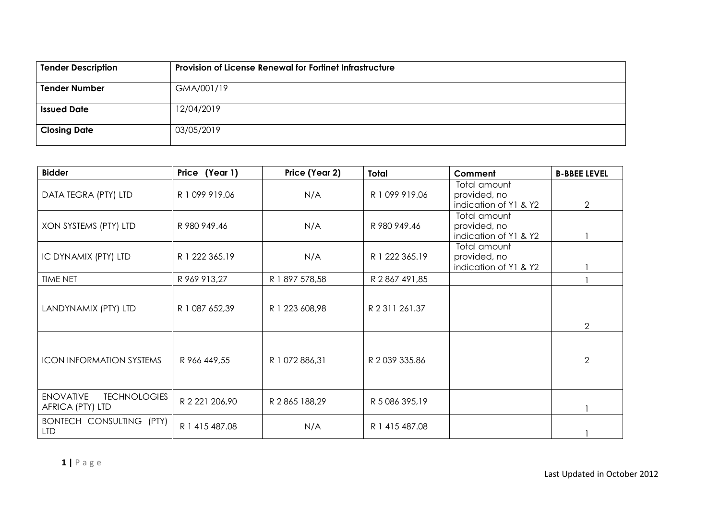| <b>Tender Description</b> | Provision of License Renewal for Fortinet Infrastructure |  |  |  |
|---------------------------|----------------------------------------------------------|--|--|--|
| <b>Tender Number</b>      | GMA/001/19                                               |  |  |  |
| <b>Issued Date</b>        | 12/04/2019                                               |  |  |  |
| <b>Closing Date</b>       | 03/05/2019                                               |  |  |  |

| <b>Bidder</b>                                               | Price (Year 1) | Price (Year 2) | Total          | Comment                                               | <b>B-BBEE LEVEL</b> |
|-------------------------------------------------------------|----------------|----------------|----------------|-------------------------------------------------------|---------------------|
| DATA TEGRA (PTY) LTD                                        | R 1 099 919.06 | N/A            | R 1 099 919.06 | Total amount<br>provided, no<br>indication of Y1 & Y2 | $\overline{2}$      |
| XON SYSTEMS (PTY) LTD                                       | R 980 949.46   | N/A            | R 980 949.46   | Total amount<br>provided, no<br>indication of Y1 & Y2 |                     |
| IC DYNAMIX (PTY) LTD                                        | R 1 222 365.19 | N/A            | R 1 222 365.19 | Total amount<br>provided, no<br>indication of Y1 & Y2 |                     |
| <b>TIME NET</b>                                             | R 969 913,27   | R 1 897 578,58 | R 2 867 491,85 |                                                       |                     |
| LANDYNAMIX (PTY) LTD                                        | R 1 087 652,39 | R 1 223 608,98 | R 2 311 261.37 |                                                       | $\overline{2}$      |
| <b>ICON INFORMATION SYSTEMS</b>                             | R 966 449,55   | R 1 072 886,31 | R 2 039 335.86 |                                                       | 2                   |
| <b>ENOVATIVE</b><br><b>TECHNOLOGIES</b><br>AFRICA (PTY) LTD | R 2 221 206,90 | R 2 865 188,29 | R 5 086 395,19 |                                                       |                     |
| BONTECH CONSULTING (PTY)<br><b>LTD</b>                      | R 1 415 487.08 | N/A            | R 1 415 487.08 |                                                       |                     |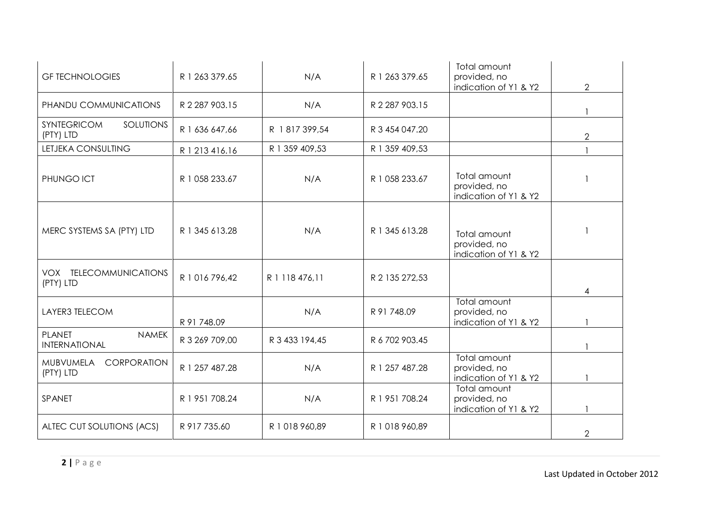| <b>GF TECHNOLOGIES</b>                                | R 1 263 379.65 | N/A            | R 1 263 379.65 | Total amount<br>provided, no                          |                |
|-------------------------------------------------------|----------------|----------------|----------------|-------------------------------------------------------|----------------|
| PHANDU COMMUNICATIONS                                 | R 2 287 903.15 | N/A            | R 2 287 903.15 | indication of Y1 & Y2                                 | $\overline{2}$ |
| <b>SOLUTIONS</b><br><b>SYNTEGRICOM</b><br>(PTY) LTD   | R 1 636 647,66 | R 1817 399,54  | R 3 454 047.20 |                                                       | $\overline{2}$ |
| LETJEKA CONSULTING                                    | R 1 213 416.16 | R 1 359 409,53 | R 1 359 409,53 |                                                       |                |
| PHUNGO ICT                                            | R 1 058 233.67 | N/A            | R 1 058 233.67 | Total amount<br>provided, no<br>indication of Y1 & Y2 |                |
| MERC SYSTEMS SA (PTY) LTD                             | R 1 345 613.28 | N/A            | R 1 345 613.28 | Total amount<br>provided, no<br>indication of Y1 & Y2 |                |
| VOX TELECOMMUNICATIONS<br>(PTY) LTD                   | R 1 016 796,42 | R 1 118 476,11 | R 2 135 272,53 |                                                       | 4              |
| LAYER3 TELECOM                                        | R 91 748.09    | N/A            | R 91 748.09    | Total amount<br>provided, no<br>indication of Y1 & Y2 |                |
| <b>PLANET</b><br><b>NAMEK</b><br><b>INTERNATIONAL</b> | R 3 269 709,00 | R 3 433 194,45 | R 6 702 903.45 |                                                       |                |
| MUBVUMELA<br>CORPORATION<br>(PTY) LTD                 | R 1 257 487.28 | N/A            | R 1 257 487.28 | Total amount<br>provided, no<br>indication of Y1 & Y2 |                |
| SPANET                                                | R 1 951 708.24 | N/A            | R 1 951 708.24 | Total amount<br>provided, no<br>indication of Y1 & Y2 |                |
| ALTEC CUT SOLUTIONS (ACS)                             | R 917 735.60   | R 1 018 960,89 | R 1 018 960,89 |                                                       | 2              |